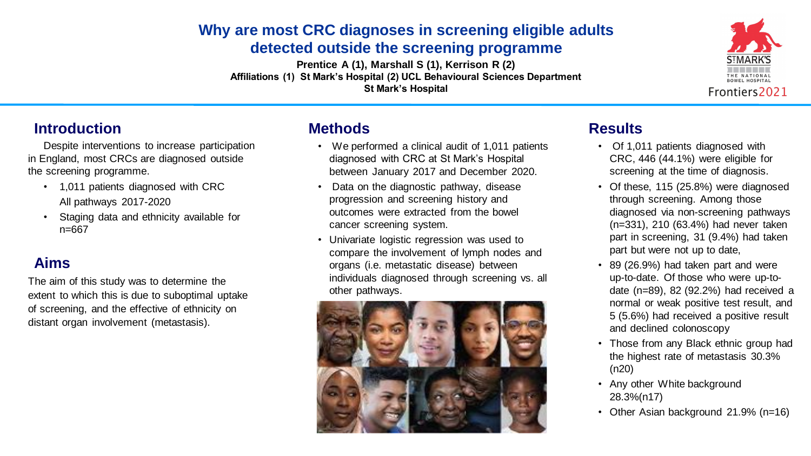# **Why are most CRC diagnoses in screening eligible adults detected outside the screening programme**

**Prentice A (1), Marshall S (1), Kerrison R (2) Affiliations (1) St Mark's Hospital (2) UCL Behavioural Sciences Department St Mark's Hospital**

- 1,011 patients diagnosed with CRC All pathways 2017-2020
- Staging data and ethnicity available for n=667

## **Introduction**

Despite interventions to increase participation in England, most CRCs are diagnosed outside the screening programme.

- Of 1,011 patients diagnosed with CRC, 446 (44.1%) were eligible for screening at the time of diagnosis.
- Of these, 115 (25.8%) were diagnosed through screening. Among those diagnosed via non-screening pathways (n=331), 210 (63.4%) had never taken part in screening, 31 (9.4%) had taken part but were not up to date,
- 89 (26.9%) had taken part and were up-to-date. Of those who were up-todate (n=89), 82 (92.2%) had received a normal or weak positive test result, and 5 (5.6%) had received a positive result and declined colonoscopy
- Those from any Black ethnic group had the highest rate of metastasis 30.3% (n20)
- Any other White background 28.3%(n17)
- Other Asian background 21.9% (n=16)









# **Aims**

The aim of this study was to determine the extent to which this is due to suboptimal uptake of screening, and the effective of ethnicity on distant organ involvement (metastasis).

## **Results**

### **Methods**

• We performed a clinical audit of 1,011 patients diagnosed with CRC at St Mark's Hospital between January 2017 and December 2020.

• Data on the diagnostic pathway, disease progression and screening history and outcomes were extracted from the bowel cancer screening system.

• Univariate logistic regression was used to compare the involvement of lymph nodes and organs (i.e. metastatic disease) between individuals diagnosed through screening vs. all

- 
- 
- other pathways.